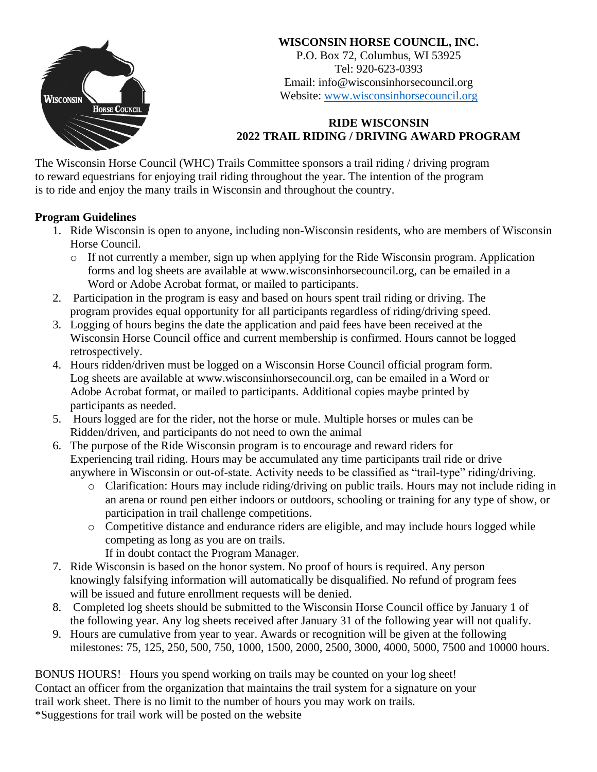

# **WISCONSIN HORSE COUNCIL, INC.**

P.O. Box 72, Columbus, WI 53925 Tel: 920-623-0393 Email: info@wisconsinhorsecouncil.org Website: [www.wisconsinhorsecouncil.org](http://www.wisconsinhorsecouncil.org/)

# **RIDE WISCONSIN 2022 TRAIL RIDING / DRIVING AWARD PROGRAM**

The Wisconsin Horse Council (WHC) Trails Committee sponsors a trail riding / driving program to reward equestrians for enjoying trail riding throughout the year. The intention of the program is to ride and enjoy the many trails in Wisconsin and throughout the country.

## **Program Guidelines**

- 1. Ride Wisconsin is open to anyone, including non-Wisconsin residents, who are members of Wisconsin Horse Council.
	- o If not currently a member, sign up when applying for the Ride Wisconsin program. Application forms and log sheets are available at www.wisconsinhorsecouncil.org, can be emailed in a Word or Adobe Acrobat format, or mailed to participants.
- 2. Participation in the program is easy and based on hours spent trail riding or driving. The program provides equal opportunity for all participants regardless of riding/driving speed.
- 3. Logging of hours begins the date the application and paid fees have been received at the Wisconsin Horse Council office and current membership is confirmed. Hours cannot be logged retrospectively.
- 4. Hours ridden/driven must be logged on a Wisconsin Horse Council official program form. Log sheets are available at www.wisconsinhorsecouncil.org, can be emailed in a Word or Adobe Acrobat format, or mailed to participants. Additional copies maybe printed by participants as needed.
- 5. Hours logged are for the rider, not the horse or mule. Multiple horses or mules can be Ridden/driven, and participants do not need to own the animal
- 6. The purpose of the Ride Wisconsin program is to encourage and reward riders for Experiencing trail riding. Hours may be accumulated any time participants trail ride or drive anywhere in Wisconsin or out-of-state. Activity needs to be classified as "trail-type" riding/driving.
	- o Clarification: Hours may include riding/driving on public trails. Hours may not include riding in an arena or round pen either indoors or outdoors, schooling or training for any type of show, or participation in trail challenge competitions.
	- o Competitive distance and endurance riders are eligible, and may include hours logged while competing as long as you are on trails.
		- If in doubt contact the Program Manager.
- 7. Ride Wisconsin is based on the honor system. No proof of hours is required. Any person knowingly falsifying information will automatically be disqualified. No refund of program fees will be issued and future enrollment requests will be denied.
- 8. Completed log sheets should be submitted to the Wisconsin Horse Council office by January 1 of the following year. Any log sheets received after January 31 of the following year will not qualify.
- 9. Hours are cumulative from year to year. Awards or recognition will be given at the following milestones: 75, 125, 250, 500, 750, 1000, 1500, 2000, 2500, 3000, 4000, 5000, 7500 and 10000 hours.

BONUS HOURS!– Hours you spend working on trails may be counted on your log sheet! Contact an officer from the organization that maintains the trail system for a signature on your trail work sheet. There is no limit to the number of hours you may work on trails. \*Suggestions for trail work will be posted on the website